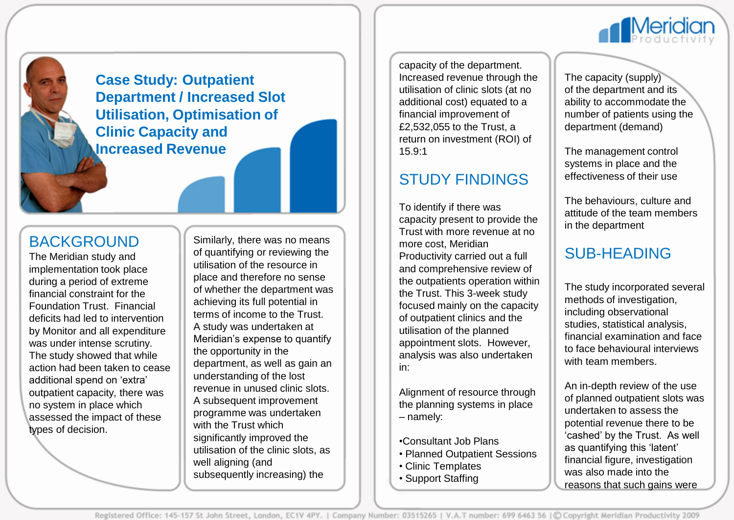

**Case Study: Outpatient Department / Increased Slot Utilisation, Optimisation of Clinic Capacity and Increased Revenue**

#### BACKGROUND

The Meridian study and implementation took place during a period of extreme financial constraint for the Foundation Trust. Financial deficits had led to intervention by Monitor and all expenditure was under intense scrutiny. The study showed that while action had been taken to cease additional spend on 'extra' outpatient capacity, there was no system in place which assessed the impact of these types of decision.

Similarly, there was no means of quantifying or reviewing the utilisation of the resource in place and therefore no sense of whether the department was achieving its full potential in terms of income to the Trust. A study was undertaken at Meridian's expense to quantify the opportunity in the department, as well as gain an understanding of the lost revenue in unused clinic slots. A subsequent improvement programme was undertaken with the Trust which significantly improved the utilisation of the clinic slots, as well aligning (and subsequently increasing) the

capacity of the department. Increased revenue through the utilisation of clinic slots (at no additional cost) equated to a financial improvement of £2,532,055 to the Trust, a return on investment (ROI) of 15.9:1

### STUDY FINDINGS

To identify if there was capacity present to provide the Trust with more revenue at no more cost, Meridian Productivity carried out a full and comprehensive review of the outpatients operation within the Trust. This 3-week study focused mainly on the capacity of outpatient clinics and the utilisation of the planned appointment slots. However, analysis was also undertaken in:

Alignment of resource through the planning systems in place – namely:

- •Consultant Job Plans
- Planned Outpatient Sessions
- Clinic Templates
- Support Staffing

The capacity (supply) of the department and its ability to accommodate the number of patients using the department (demand)

The management control systems in place and the effectiveness of their use

The behaviours, culture and attitude of the team members in the department

## SUB-HEADING

The study incorporated several methods of investigation, including observational studies, statistical analysis, financial examination and face to face behavioural interviews with team members.

An in-depth review of the use of planned outpatient slots was undertaken to assess the potential revenue there to be 'cashed' by the Trust. As well as quantifying this 'latent' financial figure, investigation was also made into the reasons that such gains were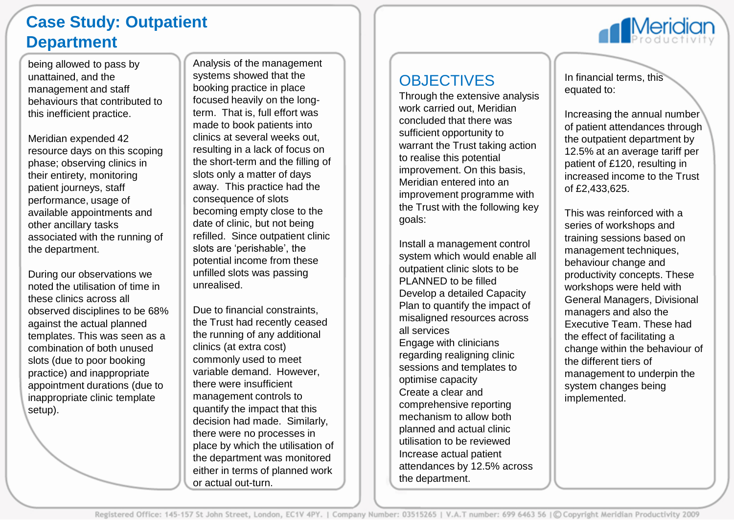# **Case Study: Outpatient Department**

being allowed to pass by unattained, and the management and staff behaviours that contributed to this inefficient practice.

Meridian expended 42 resource days on this scoping phase; observing clinics in their entirety, monitoring patient journeys, staff performance, usage of available appointments and other ancillary tasks associated with the running of the department.

During our observations we noted the utilisation of time in these clinics across all observed disciplines to be 68% against the actual planned templates. This was seen as a combination of both unused slots (due to poor booking practice) and inappropriate appointment durations (due to inappropriate clinic template setup).

Analysis of the management systems showed that the booking practice in place focused heavily on the longterm. That is, full effort was made to book patients into clinics at several weeks out, resulting in a lack of focus on the short-term and the filling of slots only a matter of days away. This practice had the consequence of slots becoming empty close to the date of clinic, but not being refilled. Since outpatient clinic slots are 'perishable', the potential income from these unfilled slots was passing unrealised.

Due to financial constraints, the Trust had recently ceased the running of any additional clinics (at extra cost) commonly used to meet variable demand. However, there were insufficient management controls to quantify the impact that this decision had made. Similarly, there were no processes in place by which the utilisation of the department was monitored either in terms of planned work or actual out-turn.



# **OBJECTIVES**

Through the extensive analysis work carried out, Meridian concluded that there was sufficient opportunity to warrant the Trust taking action to realise this potential improvement. On this basis, Meridian entered into an improvement programme with the Trust with the following key goals:

Install a management control system which would enable all outpatient clinic slots to be PLANNED to be filled Develop a detailed Capacity Plan to quantify the impact of misaligned resources across all services Engage with clinicians regarding realigning clinic sessions and templates to optimise capacity Create a clear and comprehensive reporting mechanism to allow both planned and actual clinic utilisation to be reviewed Increase actual patient attendances by 12.5% across the department.

In financial terms, this equated to:

Increasing the annual number of patient attendances through the outpatient department by 12.5% at an average tariff per patient of £120, resulting in increased income to the Trust of £2,433,625.

This was reinforced with a series of workshops and training sessions based on management techniques, behaviour change and productivity concepts. These workshops were held with General Managers, Divisional managers and also the Executive Team. These had the effect of facilitating a change within the behaviour of the different tiers of management to underpin the system changes being implemented.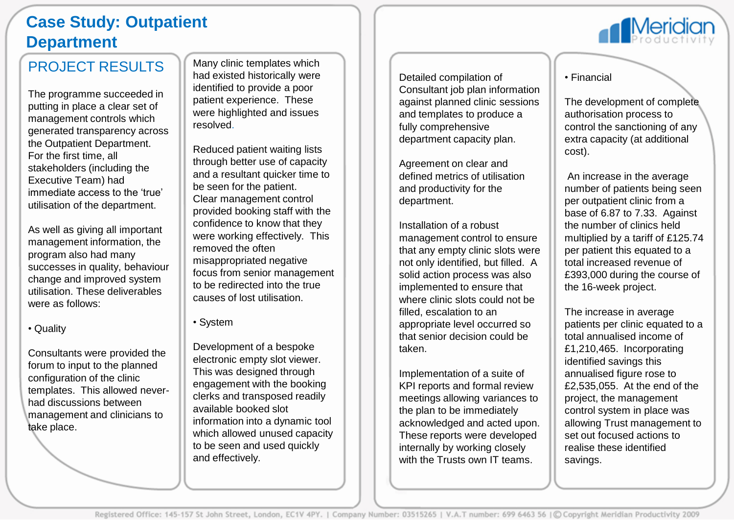# **Case Study: Outpatient Department**

### PROJECT RESULTS

The programme succeeded in putting in place a clear set of management controls which generated transparency across the Outpatient Department. For the first time, all stakeholders (including the Executive Team) had immediate access to the 'true' utilisation of the department.

As well as giving all important management information, the program also had many successes in quality, behaviour change and improved system utilisation. These deliverables were as follows:

Consultants were provided the forum to input to the planned configuration of the clinic templates. This allowed neverhad discussions between management and clinicians to take place.

Many clinic templates which had existed historically were identified to provide a poor patient experience. These were highlighted and issues resolved.

Reduced patient waiting lists through better use of capacity and a resultant quicker time to be seen for the patient. Clear management control provided booking staff with the confidence to know that they were working effectively. This removed the often misappropriated negative focus from senior management to be redirected into the true causes of lost utilisation.

• System

Development of a bespoke electronic empty slot viewer. This was designed through engagement with the booking clerks and transposed readily available booked slot information into a dynamic tool which allowed unused capacity to be seen and used quickly and effectively.

Detailed compilation of Consultant job plan information against planned clinic sessions and templates to produce a fully comprehensive department capacity plan.

Agreement on clear and defined metrics of utilisation and productivity for the department.

Installation of a robust management control to ensure that any empty clinic slots were not only identified, but filled. A solid action process was also implemented to ensure that where clinic slots could not be filled, escalation to an appropriate level occurred so that senior decision could be taken.

Implementation of a suite of KPI reports and formal review meetings allowing variances to the plan to be immediately acknowledged and acted upon. These reports were developed internally by working closely with the Trusts own IT teams.

• Financial

The development of complete authorisation process to control the sanctioning of any extra capacity (at additional cost).

**Meridia** 

An increase in the average number of patients being seen per outpatient clinic from a base of 6.87 to 7.33. Against the number of clinics held multiplied by a tariff of £125.74 per patient this equated to a total increased revenue of £393,000 during the course of the 16-week project.

The increase in average patients per clinic equated to a total annualised income of £1,210,465. Incorporating identified savings this annualised figure rose to £2,535,055. At the end of the project, the management control system in place was allowing Trust management to set out focused actions to realise these identified savings.

<sup>•</sup> Quality